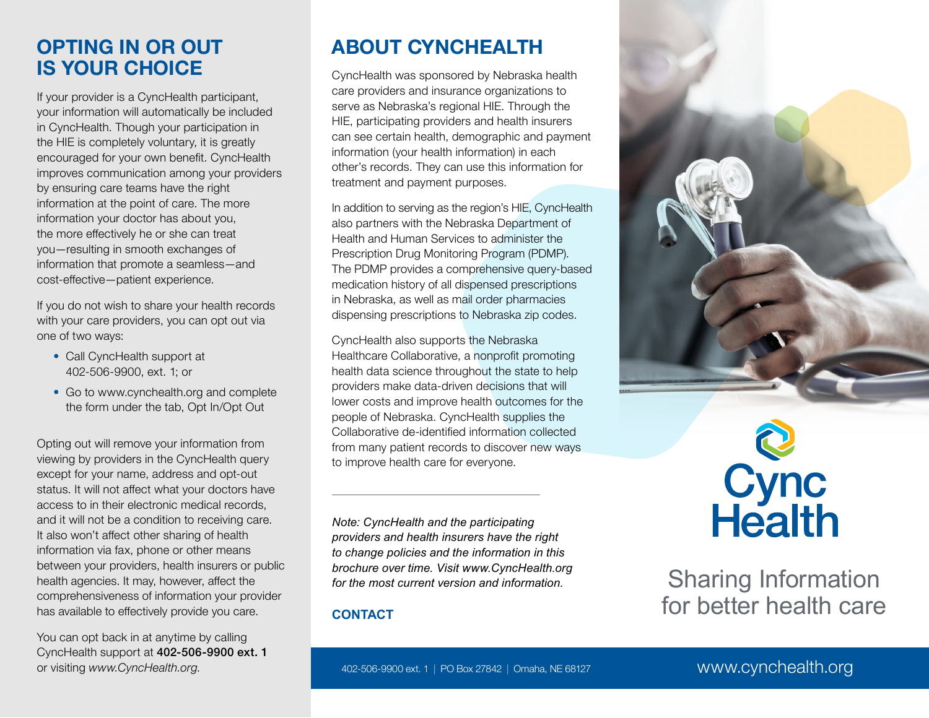### **OPTING IN OR OUT IS YOUR CHOICE**

If your provider is a CyncHealth participant, your information will automatically be included in CyncHealth. Though your participation in the HIE is completely voluntary, it is greatly encouraged for your own benefit. CyncHealth improves communication among your providers by ensuring care teams have the right information at the point of care. The more information your doctor has about you, the more effectively he or she can treat you—resulting in smooth exchanges of information that promote a seamless—and cost-effective—patient experience.

If you do not wish to share your health records with your care providers, you can opt out via one of two ways:

- Call CyncHealth support at 402-506-9900, ext. 1; or
- Go to www.cynchealth.org and complete the form under the tab, Opt In/Opt Out

Opting out will remove your information from viewing by providers in the CyncHealth query except for your name, address and opt-out status. It will not affect what your doctors have access to in their electronic medical records, and it will not be a condition to receiving care. It also won't affect other sharing of health information via fax, phone or other means between your providers, health insurers or public health agencies. It may, however, affect the comprehensiveness of information your provider has available to effectively provide you care.

You can opt back in at anytime by calling CyncHealth support at 402-506-9900 ext. 1 or visiting *www.CyncHealth.org*.

# **ABOUT CYNCHEALTH**

CyncHealth was sponsored by Nebraska health care providers and insurance organizations to serve as Nebraska's regional HIE. Through the HIE, participating providers and health insurers can see certain health, demographic and payment information (your health information) in each other's records. They can use this information for treatment and payment purposes.

In addition to serving as the region's HIE, CyncHealth also partners with the Nebraska Department of Health and Human Services to administer the Prescription Drug Monitoring Program (PDMP). The PDMP provides a comprehensive query-based medication history of all dispensed prescriptions in Nebraska, as well as mail order pharmacies dispensing prescriptions to Nebraska zip codes.

CyncHealth also supports the Nebraska Healthcare Collaborative, a nonprofit promoting health data science throughout the state to help providers make data-driven decisions that will lower costs and improve health outcomes for the people of Nebraska. CyncHealth supplies the Collaborative de-identified information collected from many patient records to discover new ways to improve health care for everyone.

*Note: CyncHealth and the participating providers and health insurers have the right to change policies and the information in this brochure over time. Visit www.CyncHealth.org for the most current version and information.*

### **CONTACT**





# **Cync**<br>Health

Sharing Information for better health care